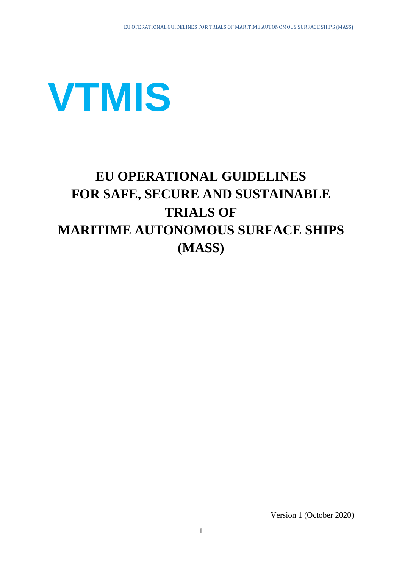

# **EU OPERATIONAL GUIDELINES FOR SAFE, SECURE AND SUSTAINABLE TRIALS OF MARITIME AUTONOMOUS SURFACE SHIPS (MASS)**

Version 1 (October 2020)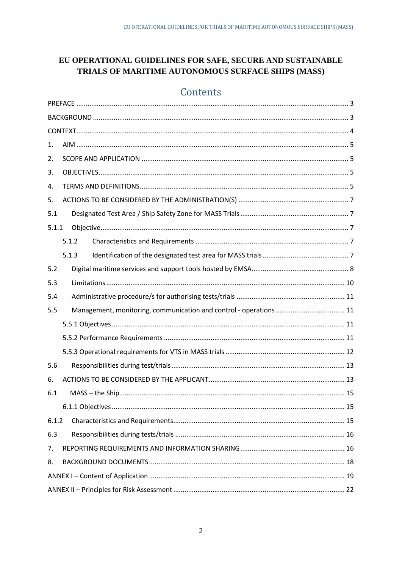## EU OPERATIONAL GUIDELINES FOR SAFE, SECURE AND SUSTAINABLE TRIALS OF MARITIME AUTONOMOUS SURFACE SHIPS (MASS)

## Contents

| 1.    |  |                                                                    |
|-------|--|--------------------------------------------------------------------|
| 2.    |  |                                                                    |
| 3.    |  |                                                                    |
| 4.    |  |                                                                    |
| 5.    |  |                                                                    |
| 5.1   |  |                                                                    |
| 5.1.1 |  |                                                                    |
|       |  | 5.1.2                                                              |
|       |  | 5.1.3                                                              |
| 5.2   |  |                                                                    |
| 5.3   |  |                                                                    |
| 5.4   |  |                                                                    |
| 5.5   |  | Management, monitoring, communication and control - operations  11 |
|       |  |                                                                    |
|       |  |                                                                    |
|       |  |                                                                    |
| 5.6   |  |                                                                    |
| 6.    |  |                                                                    |
| 6.1   |  |                                                                    |
|       |  |                                                                    |
| 6.1.2 |  |                                                                    |
| 6.3   |  |                                                                    |
| 7.    |  |                                                                    |
| 8.    |  |                                                                    |
|       |  |                                                                    |
|       |  |                                                                    |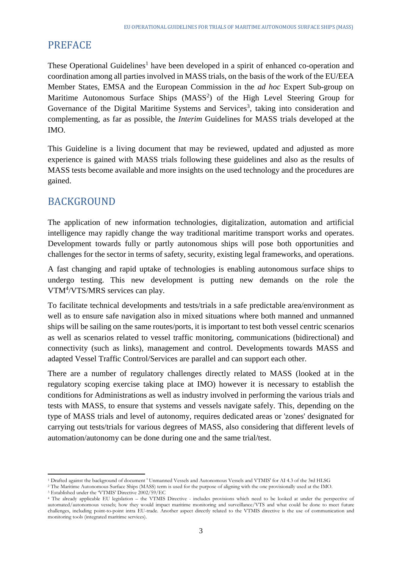## <span id="page-2-0"></span>PREFACE

These Operational Guidelines<sup>1</sup> have been developed in a spirit of enhanced co-operation and coordination among all parties involved in MASS trials, on the basis of the work of the EU/EEA Member States, EMSA and the European Commission in the *ad hoc* Expert Sub-group on Maritime Autonomous Surface Ships (MASS<sup>2</sup>) of the High Level Steering Group for Governance of the Digital Maritime Systems and Services<sup>3</sup>, taking into consideration and complementing, as far as possible, the *Interim* Guidelines for MASS trials developed at the IMO.

This Guideline is a living document that may be reviewed, updated and adjusted as more experience is gained with MASS trials following these guidelines and also as the results of MASS tests become available and more insights on the used technology and the procedures are gained.

## <span id="page-2-1"></span>BACKGROUND

The application of new information technologies, digitalization, automation and artificial intelligence may rapidly change the way traditional maritime transport works and operates. Development towards fully or partly autonomous ships will pose both opportunities and challenges for the sector in terms of safety, security, existing legal frameworks, and operations.

A fast changing and rapid uptake of technologies is enabling autonomous surface ships to undergo testing. This new development is putting new demands on the role the VTM<sup>4</sup>/VTS/MRS services can play.

To facilitate technical developments and tests/trials in a safe predictable area/environment as well as to ensure safe navigation also in mixed situations where both manned and unmanned ships will be sailing on the same routes/ports, it is important to test both vessel centric scenarios as well as scenarios related to vessel traffic monitoring, communications (bidirectional) and connectivity (such as links), management and control. Developments towards MASS and adapted Vessel Traffic Control/Services are parallel and can support each other.

There are a number of regulatory challenges directly related to MASS (looked at in the regulatory scoping exercise taking place at IMO) however it is necessary to establish the conditions for Administrations as well as industry involved in performing the various trials and tests with MASS, to ensure that systems and vessels navigate safely. This, depending on the type of MASS trials and level of autonomy, requires dedicated areas or 'zones' designated for carrying out tests/trials for various degrees of MASS, also considering that different levels of automation/autonomy can be done during one and the same trial/test.

 $\overline{a}$ 

<sup>1</sup> Drafted against the background of document ' Unmanned Vessels and Autonomous Vessels and VTMIS' for AI 4.3 of the 3rd HLSG

<sup>2</sup> The Maritime Autonomous Surface Ships (MASS) term is used for the purpose of aligning with the one provisionally used at the IMO.

<sup>3</sup> Established under the 'VTMIS' Directive 2002/59/EC

<sup>4</sup> The already applicable EU legislation – the VTMIS Directive - includes provisions which need to be looked at under the perspective of automated/autonomous vessels; how they would impact maritime monitoring and surveillance/VTS and what could be done to meet future challenges, including point-to-point intra EU-trade. Another aspect directly related to the VTMIS directive is the use of communication and monitoring tools (integrated maritime services).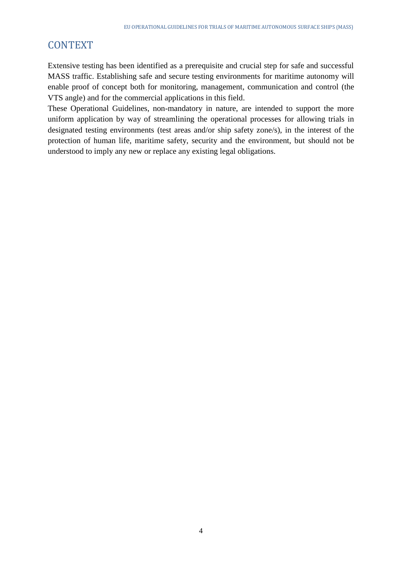## <span id="page-3-0"></span>**CONTEXT**

Extensive testing has been identified as a prerequisite and crucial step for safe and successful MASS traffic. Establishing safe and secure testing environments for maritime autonomy will enable proof of concept both for monitoring, management, communication and control (the VTS angle) and for the commercial applications in this field.

These Operational Guidelines, non-mandatory in nature, are intended to support the more uniform application by way of streamlining the operational processes for allowing trials in designated testing environments (test areas and/or ship safety zone/s), in the interest of the protection of human life, maritime safety, security and the environment, but should not be understood to imply any new or replace any existing legal obligations.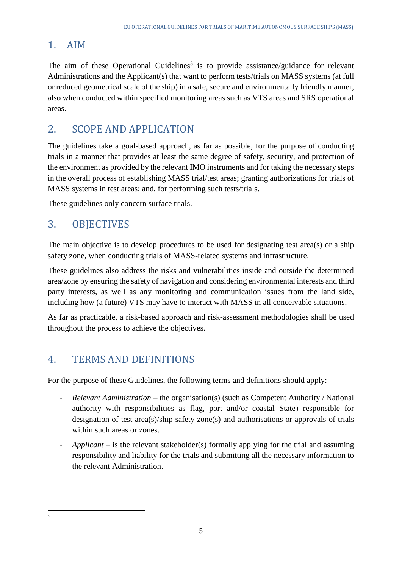## <span id="page-4-0"></span>1. AIM

The aim of these Operational Guidelines<sup>5</sup> is to provide assistance/guidance for relevant Administrations and the Applicant(s) that want to perform tests/trials on MASS systems (at full or reduced geometrical scale of the ship) in a safe, secure and environmentally friendly manner, also when conducted within specified monitoring areas such as VTS areas and SRS operational areas.

## <span id="page-4-1"></span>2. SCOPE AND APPLICATION

The guidelines take a goal-based approach, as far as possible, for the purpose of conducting trials in a manner that provides at least the same degree of safety, security, and protection of the environment as provided by the relevant IMO instruments and for taking the necessary steps in the overall process of establishing MASS trial/test areas; granting authorizations for trials of MASS systems in test areas; and, for performing such tests/trials.

These guidelines only concern surface trials.

## <span id="page-4-2"></span>3. OBJECTIVES

The main objective is to develop procedures to be used for designating test area(s) or a ship safety zone, when conducting trials of MASS-related systems and infrastructure.

These guidelines also address the risks and vulnerabilities inside and outside the determined area/zone by ensuring the safety of navigation and considering environmental interests and third party interests, as well as any monitoring and communication issues from the land side, including how (a future) VTS may have to interact with MASS in all conceivable situations.

As far as practicable, a risk-based approach and risk-assessment methodologies shall be used throughout the process to achieve the objectives.

## <span id="page-4-3"></span>4. TERMS AND DEFINITIONS

For the purpose of these Guidelines, the following terms and definitions should apply:

- *Relevant Administration* the organisation(s) (such as Competent Authority / National authority with responsibilities as flag, port and/or coastal State) responsible for designation of test area(s)/ship safety zone(s) and authorisations or approvals of trials within such areas or zones.
- *Applicant* is the relevant stakeholder(s) formally applying for the trial and assuming responsibility and liability for the trials and submitting all the necessary information to the relevant Administration.

<sup>1</sup> 5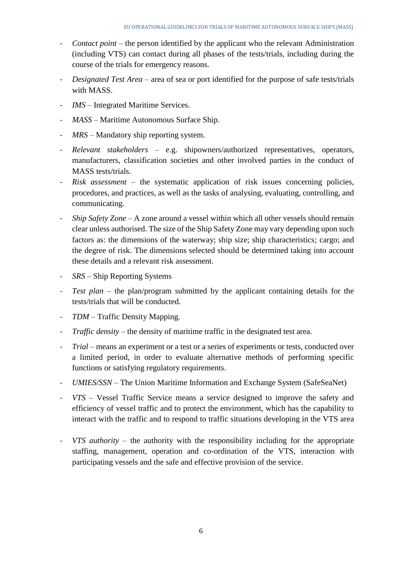- *Contact point* the person identified by the applicant who the relevant Administration (including VTS) can contact during all phases of the tests/trials, including during the course of the trials for emergency reasons.
- *Designated Test Area* area of sea or port identified for the purpose of safe tests/trials with MASS.
- *IMS* Integrated Maritime Services.
- *MASS –* Maritime Autonomous Surface Ship.
- *MRS –* Mandatory ship reporting system.
- *Relevant stakeholders –* e.g. shipowners/authorized representatives, operators, manufacturers, classification societies and other involved parties in the conduct of MASS tests/trials.
- *Risk assessment* the systematic application of risk issues concerning policies, procedures, and practices, as well as the tasks of analysing, evaluating, controlling, and communicating.
- *Ship Safety Zone* A zone around a vessel within which all other vessels should remain clear unless authorised. The size of the Ship Safety Zone may vary depending upon such factors as: the dimensions of the waterway; ship size; ship characteristics; cargo; and the degree of risk. The dimensions selected should be determined taking into account these details and a relevant risk assessment.
- *SRS –* Ship Reporting Systems
- *Test plan* the plan/program submitted by the applicant containing details for the tests/trials that will be conducted.
- *TDM –* Traffic Density Mapping.
- *Traffic density –* the density of maritime traffic in the designated test area.
- *Trial –* means an experiment or a test or a series of experiments or tests, conducted over a limited period, in order to evaluate alternative methods of performing specific functions or satisfying regulatory requirements.
- *UMIES/SSN –* The Union Maritime Information and Exchange System (SafeSeaNet)
- *VTS –* Vessel Traffic Service means a service designed to improve the safety and efficiency of vessel traffic and to protect the environment, which has the capability to interact with the traffic and to respond to traffic situations developing in the VTS area
- *VTS authority –* the authority with the responsibility including for the appropriate staffing, management, operation and co-ordination of the VTS, interaction with participating vessels and the safe and effective provision of the service.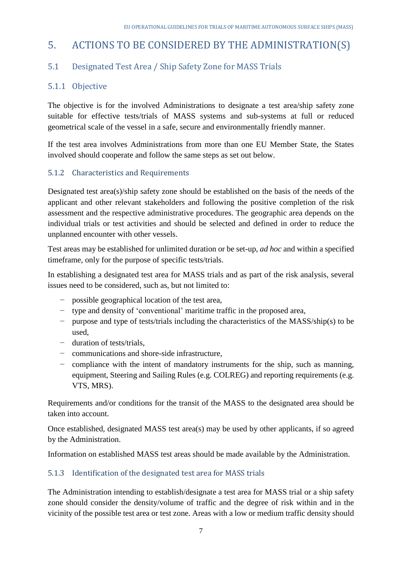## <span id="page-6-0"></span>5. ACTIONS TO BE CONSIDERED BY THE ADMINISTRATION(S)

## <span id="page-6-1"></span>5.1 Designated Test Area / Ship Safety Zone for MASS Trials

### <span id="page-6-2"></span>5.1.1 Objective

The objective is for the involved Administrations to designate a test area/ship safety zone suitable for effective tests/trials of MASS systems and sub-systems at full or reduced geometrical scale of the vessel in a safe, secure and environmentally friendly manner.

If the test area involves Administrations from more than one EU Member State, the States involved should cooperate and follow the same steps as set out below.

### <span id="page-6-3"></span>5.1.2 Characteristics and Requirements

Designated test area(s)/ship safety zone should be established on the basis of the needs of the applicant and other relevant stakeholders and following the positive completion of the risk assessment and the respective administrative procedures. The geographic area depends on the individual trials or test activities and should be selected and defined in order to reduce the unplanned encounter with other vessels.

Test areas may be established for unlimited duration or be set-up, *ad hoc* and within a specified timeframe, only for the purpose of specific tests/trials.

In establishing a designated test area for MASS trials and as part of the risk analysis, several issues need to be considered, such as, but not limited to:

- − possible geographical location of the test area,
- − type and density of 'conventional' maritime traffic in the proposed area,
- − purpose and type of tests/trials including the characteristics of the MASS/ship(s) to be used,
- − duration of tests/trials,
- − communications and shore-side infrastructure,
- − compliance with the intent of mandatory instruments for the ship, such as manning, equipment, Steering and Sailing Rules (e.g. COLREG) and reporting requirements (e.g. VTS, MRS).

Requirements and/or conditions for the transit of the MASS to the designated area should be taken into account.

Once established, designated MASS test area(s) may be used by other applicants, if so agreed by the Administration.

Information on established MASS test areas should be made available by the Administration.

### <span id="page-6-4"></span>5.1.3 Identification of the designated test area for MASS trials

The Administration intending to establish/designate a test area for MASS trial or a ship safety zone should consider the density/volume of traffic and the degree of risk within and in the vicinity of the possible test area or test zone. Areas with a low or medium traffic density should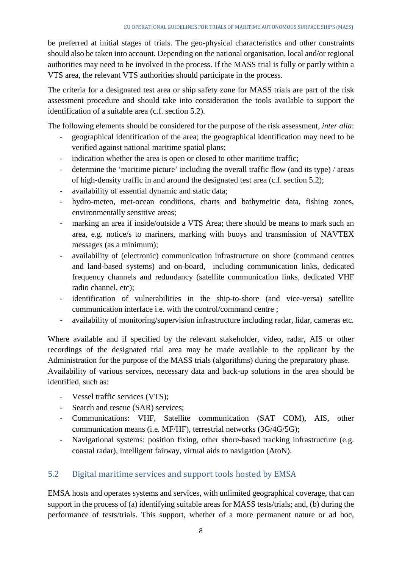be preferred at initial stages of trials. The geo-physical characteristics and other constraints should also be taken into account. Depending on the national organisation, local and/or regional authorities may need to be involved in the process. If the MASS trial is fully or partly within a VTS area, the relevant VTS authorities should participate in the process.

The criteria for a designated test area or ship safety zone for MASS trials are part of the risk assessment procedure and should take into consideration the tools available to support the identification of a suitable area (c.f. section 5.2).

The following elements should be considered for the purpose of the risk assessment, *inter alia*:

- geographical identification of the area; the geographical identification may need to be verified against national maritime spatial plans;
- indication whether the area is open or closed to other maritime traffic;
- determine the 'maritime picture' including the overall traffic flow (and its type) / areas of high-density traffic in and around the designated test area (c.f. section 5.2);
- availability of essential dynamic and static data;
- hydro-meteo, met-ocean conditions, charts and bathymetric data, fishing zones, environmentally sensitive areas;
- marking an area if inside/outside a VTS Area; there should be means to mark such an area, e.g. notice/s to mariners, marking with buoys and transmission of NAVTEX messages (as a minimum);
- availability of (electronic) communication infrastructure on shore (command centres and land-based systems) and on-board, including communication links, dedicated frequency channels and redundancy (satellite communication links, dedicated VHF radio channel, etc);
- identification of vulnerabilities in the ship-to-shore (and vice-versa) satellite communication interface i.e. with the control/command centre ;
- availability of monitoring/supervision infrastructure including radar, lidar, cameras etc.

Where available and if specified by the relevant stakeholder, video, radar, AIS or other recordings of the designated trial area may be made available to the applicant by the Administration for the purpose of the MASS trials (algorithms) during the preparatory phase. Availability of various services, necessary data and back-up solutions in the area should be identified, such as:

- Vessel traffic services (VTS);
- Search and rescue (SAR) services;
- Communications: VHF, Satellite communication (SAT COM), AIS, other communication means (i.e. MF/HF), terrestrial networks (3G/4G/5G);
- Navigational systems: position fixing, other shore-based tracking infrastructure (e.g. coastal radar), intelligent fairway, virtual aids to navigation (AtoN).

### <span id="page-7-0"></span>5.2 Digital maritime services and support tools hosted by EMSA

EMSA hosts and operates systems and services, with unlimited geographical coverage, that can support in the process of (a) identifying suitable areas for MASS tests/trials; and, (b) during the performance of tests/trials. This support, whether of a more permanent nature or ad hoc,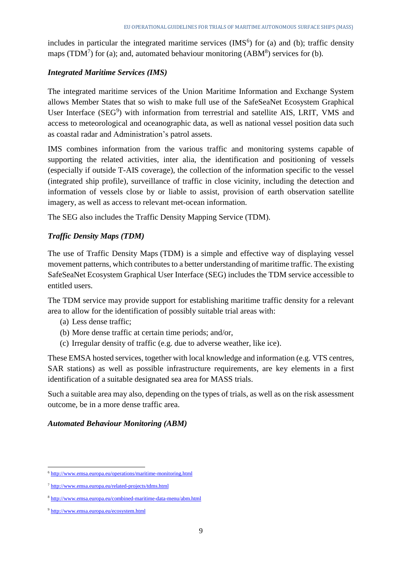includes in particular the integrated maritime services  $(IMS<sup>6</sup>)$  for (a) and (b); traffic density maps (TDM<sup>7</sup>) for (a); and, automated behaviour monitoring (ABM<sup>8</sup>) services for (b).

### *Integrated Maritime Services (IMS)*

The integrated maritime services of the Union Maritime Information and Exchange System allows Member States that so wish to make full use of the SafeSeaNet Ecosystem Graphical User Interface (SEG<sup>9</sup>) with information from terrestrial and satellite AIS, LRIT, VMS and access to meteorological and oceanographic data, as well as national vessel position data such as coastal radar and Administration's patrol assets.

IMS combines information from the various traffic and monitoring systems capable of supporting the related activities, inter alia, the identification and positioning of vessels (especially if outside T-AIS coverage), the collection of the information specific to the vessel (integrated ship profile), surveillance of traffic in close vicinity, including the detection and information of vessels close by or liable to assist, provision of earth observation satellite imagery, as well as access to relevant met-ocean information.

The SEG also includes the Traffic Density Mapping Service (TDM).

### *Traffic Density Maps (TDM)*

The use of Traffic Density Maps (TDM) is a simple and effective way of displaying vessel movement patterns, which contributes to a better understanding of maritime traffic. The existing SafeSeaNet Ecosystem Graphical User Interface (SEG) includes the TDM service accessible to entitled users.

The TDM service may provide support for establishing maritime traffic density for a relevant area to allow for the identification of possibly suitable trial areas with:

- (a) Less dense traffic;
- (b) More dense traffic at certain time periods; and/or,
- (c) Irregular density of traffic (e.g. due to adverse weather, like ice).

These EMSA hosted services, together with local knowledge and information (e.g. VTS centres, SAR stations) as well as possible infrastructure requirements, are key elements in a first identification of a suitable designated sea area for MASS trials.

Such a suitable area may also, depending on the types of trials, as well as on the risk assessment outcome, be in a more dense traffic area.

#### *Automated Behaviour Monitoring (ABM)*

<sup>1</sup> <sup>6</sup> <http://www.emsa.europa.eu/operations/maritime-monitoring.html>

<sup>7</sup> <http://www.emsa.europa.eu/related-projects/tdms.html>

<sup>8</sup> <http://www.emsa.europa.eu/combined-maritime-data-menu/abm.html>

<sup>9</sup> <http://www.emsa.europa.eu/ecosystem.html>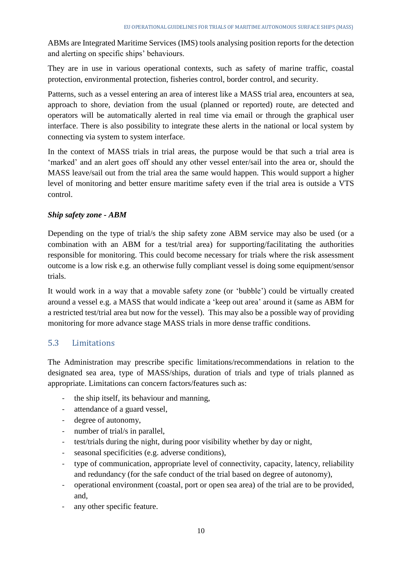ABMs are Integrated Maritime Services (IMS) tools analysing position reports for the detection and alerting on specific ships' behaviours.

They are in use in various operational contexts, such as safety of marine traffic, coastal protection, environmental protection, fisheries control, border control, and security.

Patterns, such as a vessel entering an area of interest like a MASS trial area, encounters at sea, approach to shore, deviation from the usual (planned or reported) route, are detected and operators will be automatically alerted in real time via email or through the graphical user interface. There is also possibility to integrate these alerts in the national or local system by connecting via system to system interface.

In the context of MASS trials in trial areas, the purpose would be that such a trial area is 'marked' and an alert goes off should any other vessel enter/sail into the area or, should the MASS leave/sail out from the trial area the same would happen. This would support a higher level of monitoring and better ensure maritime safety even if the trial area is outside a VTS control.

#### *Ship safety zone - ABM*

Depending on the type of trial/s the ship safety zone ABM service may also be used (or a combination with an ABM for a test/trial area) for supporting/facilitating the authorities responsible for monitoring. This could become necessary for trials where the risk assessment outcome is a low risk e.g. an otherwise fully compliant vessel is doing some equipment/sensor trials.

It would work in a way that a movable safety zone (or 'bubble') could be virtually created around a vessel e.g. a MASS that would indicate a 'keep out area' around it (same as ABM for a restricted test/trial area but now for the vessel). This may also be a possible way of providing monitoring for more advance stage MASS trials in more dense traffic conditions.

### <span id="page-9-0"></span>5.3 Limitations

The Administration may prescribe specific limitations/recommendations in relation to the designated sea area, type of MASS/ships, duration of trials and type of trials planned as appropriate. Limitations can concern factors/features such as:

- the ship itself, its behaviour and manning,
- attendance of a guard vessel,
- degree of autonomy,
- number of trial/s in parallel,
- test/trials during the night, during poor visibility whether by day or night,
- seasonal specificities (e.g. adverse conditions),
- type of communication, appropriate level of connectivity, capacity, latency, reliability and redundancy (for the safe conduct of the trial based on degree of autonomy),
- operational environment (coastal, port or open sea area) of the trial are to be provided, and,
- any other specific feature.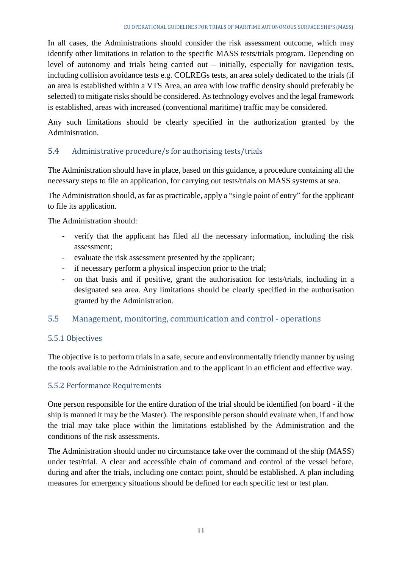In all cases, the Administrations should consider the risk assessment outcome, which may identify other limitations in relation to the specific MASS tests/trials program. Depending on level of autonomy and trials being carried out – initially, especially for navigation tests, including collision avoidance tests e.g. COLREGs tests, an area solely dedicated to the trials (if an area is established within a VTS Area, an area with low traffic density should preferably be selected) to mitigate risks should be considered. As technology evolves and the legal framework is established, areas with increased (conventional maritime) traffic may be considered.

Any such limitations should be clearly specified in the authorization granted by the Administration.

### <span id="page-10-0"></span>5.4 Administrative procedure/s for authorising tests/trials

The Administration should have in place, based on this guidance, a procedure containing all the necessary steps to file an application, for carrying out tests/trials on MASS systems at sea.

The Administration should, as far as practicable, apply a "single point of entry" for the applicant to file its application.

The Administration should:

- verify that the applicant has filed all the necessary information, including the risk assessment;
- evaluate the risk assessment presented by the applicant;
- if necessary perform a physical inspection prior to the trial;
- on that basis and if positive, grant the authorisation for tests/trials, including in a designated sea area. Any limitations should be clearly specified in the authorisation granted by the Administration.

### <span id="page-10-1"></span>5.5 Management, monitoring, communication and control - operations

### <span id="page-10-2"></span>5.5.1 Objectives

The objective is to perform trials in a safe, secure and environmentally friendly manner by using the tools available to the Administration and to the applicant in an efficient and effective way.

### <span id="page-10-3"></span>5.5.2 Performance Requirements

One person responsible for the entire duration of the trial should be identified (on board - if the ship is manned it may be the Master). The responsible person should evaluate when, if and how the trial may take place within the limitations established by the Administration and the conditions of the risk assessments.

The Administration should under no circumstance take over the command of the ship (MASS) under test/trial. A clear and accessible chain of command and control of the vessel before, during and after the trials, including one contact point, should be established. A plan including measures for emergency situations should be defined for each specific test or test plan.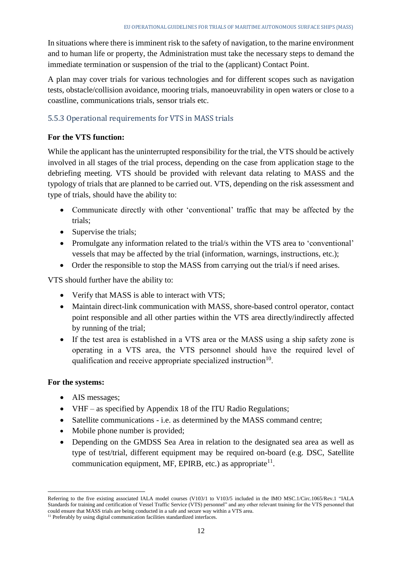In situations where there is imminent risk to the safety of navigation, to the marine environment and to human life or property, the Administration must take the necessary steps to demand the immediate termination or suspension of the trial to the (applicant) Contact Point.

A plan may cover trials for various technologies and for different scopes such as navigation tests, obstacle/collision avoidance, mooring trials, manoeuvrability in open waters or close to a coastline, communications trials, sensor trials etc.

### <span id="page-11-0"></span>5.5.3 Operational requirements for VTS in MASS trials

#### **For the VTS function:**

While the applicant has the uninterrupted responsibility for the trial, the VTS should be actively involved in all stages of the trial process, depending on the case from application stage to the debriefing meeting. VTS should be provided with relevant data relating to MASS and the typology of trials that are planned to be carried out. VTS, depending on the risk assessment and type of trials, should have the ability to:

- Communicate directly with other 'conventional' traffic that may be affected by the trials;
- Supervise the trials;
- Promulgate any information related to the trial/s within the VTS area to 'conventional' vessels that may be affected by the trial (information, warnings, instructions, etc.);
- Order the responsible to stop the MASS from carrying out the trial/s if need arises.

VTS should further have the ability to:

- Verify that MASS is able to interact with VTS;
- Maintain direct-link communication with MASS, shore-based control operator, contact point responsible and all other parties within the VTS area directly/indirectly affected by running of the trial;
- If the test area is established in a VTS area or the MASS using a ship safety zone is operating in a VTS area, the VTS personnel should have the required level of qualification and receive appropriate specialized instruction<sup>10</sup>.

#### **For the systems:**

**.** 

- AIS messages:
- VHF as specified by Appendix 18 of the ITU Radio Regulations;
- Satellite communications i.e. as determined by the MASS command centre;
- Mobile phone number is provided;
- Depending on the GMDSS Sea Area in relation to the designated sea area as well as type of test/trial, different equipment may be required on-board (e.g. DSC, Satellite communication equipment, MF, EPIRB, etc.) as appropriate $^{11}$ .

Referring to the five existing associated IALA model courses (V103/1 to V103/5 included in the IMO MSC.1/Circ.1065/Rev.1 "IALA Standards for training and certification of Vessel Traffic Service (VTS) personnel" and any other relevant training for the VTS personnel that could ensure that MASS trials are being conducted in a safe and secure way within a VTS area.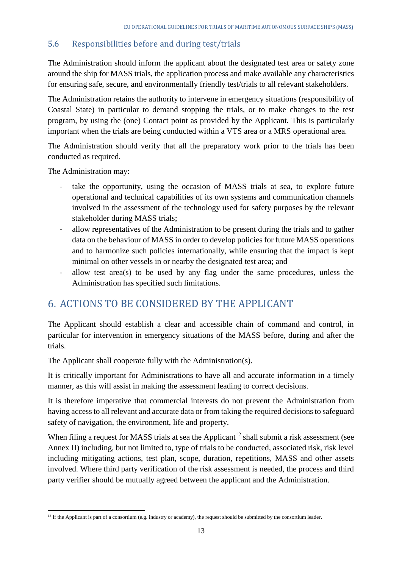### <span id="page-12-0"></span>5.6 Responsibilities before and during test/trials

The Administration should inform the applicant about the designated test area or safety zone around the ship for MASS trials, the application process and make available any characteristics for ensuring safe, secure, and environmentally friendly test/trials to all relevant stakeholders.

The Administration retains the authority to intervene in emergency situations (responsibility of Coastal State) in particular to demand stopping the trials, or to make changes to the test program, by using the (one) Contact point as provided by the Applicant. This is particularly important when the trials are being conducted within a VTS area or a MRS operational area.

The Administration should verify that all the preparatory work prior to the trials has been conducted as required.

The Administration may:

- take the opportunity, using the occasion of MASS trials at sea, to explore future operational and technical capabilities of its own systems and communication channels involved in the assessment of the technology used for safety purposes by the relevant stakeholder during MASS trials;
- allow representatives of the Administration to be present during the trials and to gather data on the behaviour of MASS in order to develop policies for future MASS operations and to harmonize such policies internationally, while ensuring that the impact is kept minimal on other vessels in or nearby the designated test area; and
- allow test area(s) to be used by any flag under the same procedures, unless the Administration has specified such limitations.

## <span id="page-12-1"></span>6. ACTIONS TO BE CONSIDERED BY THE APPLICANT

The Applicant should establish a clear and accessible chain of command and control, in particular for intervention in emergency situations of the MASS before, during and after the trials.

The Applicant shall cooperate fully with the Administration(s).

It is critically important for Administrations to have all and accurate information in a timely manner, as this will assist in making the assessment leading to correct decisions.

It is therefore imperative that commercial interests do not prevent the Administration from having access to all relevant and accurate data or from taking the required decisions to safeguard safety of navigation, the environment, life and property.

When filing a request for MASS trials at sea the Applicant<sup>12</sup> shall submit a risk assessment (see Annex II) including, but not limited to, type of trials to be conducted, associated risk, risk level including mitigating actions, test plan, scope, duration, repetitions, MASS and other assets involved. Where third party verification of the risk assessment is needed, the process and third party verifier should be mutually agreed between the applicant and the Administration.

<sup>1</sup>  $12$  If the Applicant is part of a consortium (e.g. industry or academy), the request should be submitted by the consortium leader.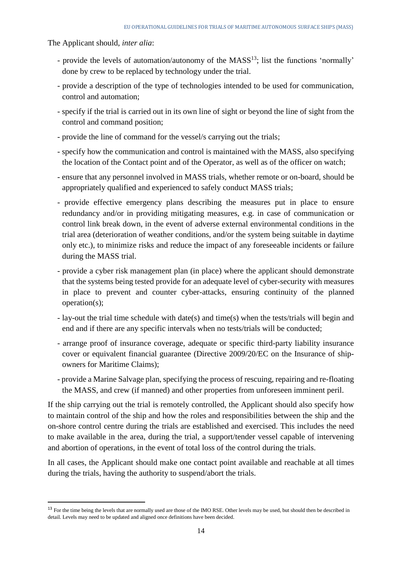The Applicant should, *inter alia*:

**.** 

- provide the levels of automation/autonomy of the MASS<sup>13</sup>; list the functions 'normally' done by crew to be replaced by technology under the trial.
- provide a description of the type of technologies intended to be used for communication, control and automation;
- specify if the trial is carried out in its own line of sight or beyond the line of sight from the control and command position;
- provide the line of command for the vessel/s carrying out the trials;
- specify how the communication and control is maintained with the MASS, also specifying the location of the Contact point and of the Operator, as well as of the officer on watch;
- ensure that any personnel involved in MASS trials, whether remote or on-board, should be appropriately qualified and experienced to safely conduct MASS trials;
- provide effective emergency plans describing the measures put in place to ensure redundancy and/or in providing mitigating measures, e.g. in case of communication or control link break down, in the event of adverse external environmental conditions in the trial area (deterioration of weather conditions, and/or the system being suitable in daytime only etc.), to minimize risks and reduce the impact of any foreseeable incidents or failure during the MASS trial.
- provide a cyber risk management plan (in place) where the applicant should demonstrate that the systems being tested provide for an adequate level of cyber-security with measures in place to prevent and counter cyber-attacks, ensuring continuity of the planned operation(s);
- lay-out the trial time schedule with date(s) and time(s) when the tests/trials will begin and end and if there are any specific intervals when no tests/trials will be conducted;
- arrange proof of insurance coverage, adequate or specific third-party liability insurance cover or equivalent financial guarantee (Directive 2009/20/EC on the Insurance of shipowners for Maritime Claims);
- provide a Marine Salvage plan, specifying the process of rescuing, repairing and re-floating the MASS, and crew (if manned) and other properties from unforeseen imminent peril.

If the ship carrying out the trial is remotely controlled, the Applicant should also specify how to maintain control of the ship and how the roles and responsibilities between the ship and the on-shore control centre during the trials are established and exercised. This includes the need to make available in the area, during the trial, a support/tender vessel capable of intervening and abortion of operations, in the event of total loss of the control during the trials.

In all cases, the Applicant should make one contact point available and reachable at all times during the trials, having the authority to suspend/abort the trials.

<sup>&</sup>lt;sup>13</sup> For the time being the levels that are normally used are those of the IMO RSE. Other levels may be used, but should then be described in detail. Levels may need to be updated and aligned once definitions have been decided.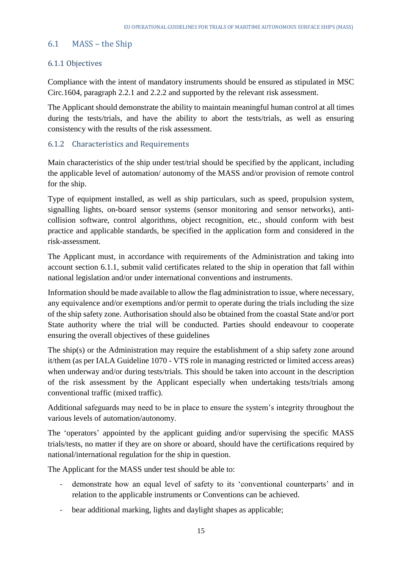#### <span id="page-14-0"></span>6.1 MASS – the Ship

#### <span id="page-14-1"></span>6.1.1 Objectives

Compliance with the intent of mandatory instruments should be ensured as stipulated in MSC Circ.1604, paragraph 2.2.1 and 2.2.2 and supported by the relevant risk assessment.

The Applicant should demonstrate the ability to maintain meaningful human control at all times during the tests/trials, and have the ability to abort the tests/trials, as well as ensuring consistency with the results of the risk assessment.

#### <span id="page-14-2"></span>6.1.2 Characteristics and Requirements

Main characteristics of the ship under test/trial should be specified by the applicant, including the applicable level of automation/ autonomy of the MASS and/or provision of remote control for the ship.

Type of equipment installed, as well as ship particulars, such as speed, propulsion system, signalling lights, on-board sensor systems (sensor monitoring and sensor networks), anticollision software, control algorithms, object recognition, etc., should conform with best practice and applicable standards, be specified in the application form and considered in the risk-assessment.

The Applicant must, in accordance with requirements of the Administration and taking into account section 6.1.1, submit valid certificates related to the ship in operation that fall within national legislation and/or under international conventions and instruments.

Information should be made available to allow the flag administration to issue, where necessary, any equivalence and/or exemptions and/or permit to operate during the trials including the size of the ship safety zone. Authorisation should also be obtained from the coastal State and/or port State authority where the trial will be conducted. Parties should endeavour to cooperate ensuring the overall objectives of these guidelines

The ship(s) or the Administration may require the establishment of a ship safety zone around it/them (as per IALA Guideline 1070 - VTS role in managing restricted or limited access areas) when underway and/or during tests/trials. This should be taken into account in the description of the risk assessment by the Applicant especially when undertaking tests/trials among conventional traffic (mixed traffic).

Additional safeguards may need to be in place to ensure the system's integrity throughout the various levels of automation/autonomy.

The 'operators' appointed by the applicant guiding and/or supervising the specific MASS trials/tests, no matter if they are on shore or aboard, should have the certifications required by national/international regulation for the ship in question.

The Applicant for the MASS under test should be able to:

- demonstrate how an equal level of safety to its 'conventional counterparts' and in relation to the applicable instruments or Conventions can be achieved.
- bear additional marking, lights and daylight shapes as applicable;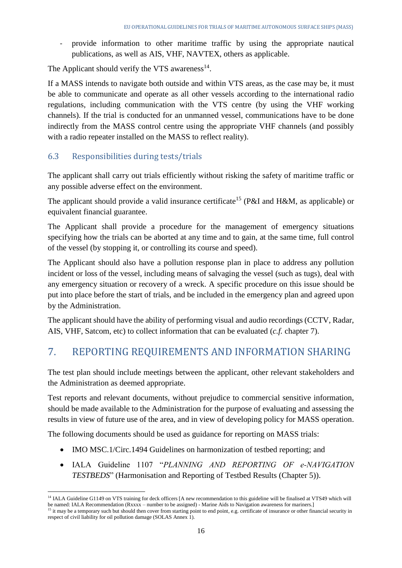- provide information to other maritime traffic by using the appropriate nautical publications, as well as AIS, VHF, NAVTEX, others as applicable.

The Applicant should verify the VTS awareness $^{14}$ .

If a MASS intends to navigate both outside and within VTS areas, as the case may be, it must be able to communicate and operate as all other vessels according to the international radio regulations, including communication with the VTS centre (by using the VHF working channels). If the trial is conducted for an unmanned vessel, communications have to be done indirectly from the MASS control centre using the appropriate VHF channels (and possibly with a radio repeater installed on the MASS to reflect reality).

### <span id="page-15-0"></span>6.3 Responsibilities during tests/trials

**.** 

The applicant shall carry out trials efficiently without risking the safety of maritime traffic or any possible adverse effect on the environment.

The applicant should provide a valid insurance certificate<sup>15</sup> (P&I and H&M, as applicable) or equivalent financial guarantee.

The Applicant shall provide a procedure for the management of emergency situations specifying how the trials can be aborted at any time and to gain, at the same time, full control of the vessel (by stopping it, or controlling its course and speed).

The Applicant should also have a pollution response plan in place to address any pollution incident or loss of the vessel, including means of salvaging the vessel (such as tugs), deal with any emergency situation or recovery of a wreck. A specific procedure on this issue should be put into place before the start of trials, and be included in the emergency plan and agreed upon by the Administration.

The applicant should have the ability of performing visual and audio recordings (CCTV, Radar, AIS, VHF, Satcom, etc) to collect information that can be evaluated (*c.f.* chapter 7).

## <span id="page-15-1"></span>7. REPORTING REQUIREMENTS AND INFORMATION SHARING

The test plan should include meetings between the applicant, other relevant stakeholders and the Administration as deemed appropriate.

Test reports and relevant documents, without prejudice to commercial sensitive information, should be made available to the Administration for the purpose of evaluating and assessing the results in view of future use of the area, and in view of developing policy for MASS operation.

The following documents should be used as guidance for reporting on MASS trials:

- IMO MSC.1/Circ.1494 Guidelines on harmonization of testbed reporting; and
- IALA Guideline 1107 "*PLANNING AND REPORTING OF e‐NAVIGATION TESTBEDS*" (Harmonisation and Reporting of Testbed Results (Chapter 5)).

<sup>&</sup>lt;sup>14</sup> IALA Guideline G1149 on VTS training for deck officers [A new recommendation to this guideline will be finalised at VTS49 which will be named: IALA Recommendation (Rxxxx – number to be assigned) - Marine Aids to Navigation awareness for mariners.]

<sup>&</sup>lt;sup>15</sup> it may be a temporary such but should then cover from starting point to end point, e.g. certificate of insurance or other financial security in respect of civil liability for oil pollution damage (SOLAS Annex 1).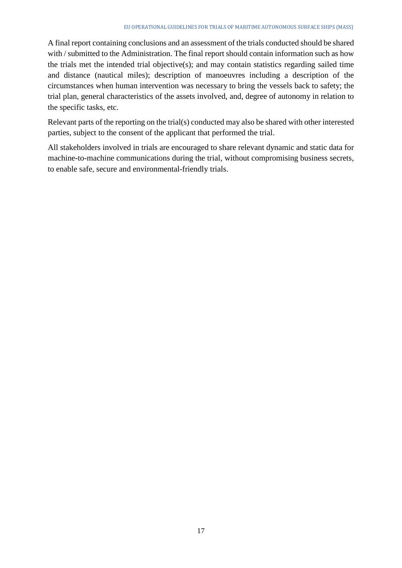A final report containing conclusions and an assessment of the trials conducted should be shared with / submitted to the Administration. The final report should contain information such as how the trials met the intended trial objective(s); and may contain statistics regarding sailed time and distance (nautical miles); description of manoeuvres including a description of the circumstances when human intervention was necessary to bring the vessels back to safety; the trial plan, general characteristics of the assets involved, and, degree of autonomy in relation to the specific tasks, etc.

Relevant parts of the reporting on the trial(s) conducted may also be shared with other interested parties, subject to the consent of the applicant that performed the trial.

All stakeholders involved in trials are encouraged to share relevant dynamic and static data for machine-to-machine communications during the trial, without compromising business secrets, to enable safe, secure and environmental-friendly trials.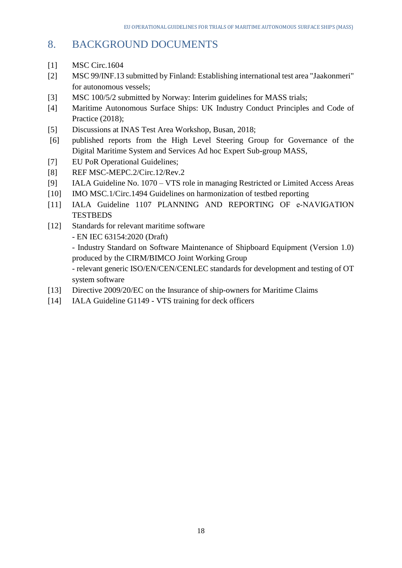## <span id="page-17-0"></span>8. BACKGROUND DOCUMENTS

- [1] MSC Circ.1604
- [2] MSC 99/INF.13 submitted by Finland: Establishing international test area "Jaakonmeri" for autonomous vessels;
- [3] MSC 100/5/2 submitted by Norway: Interim guidelines for MASS trials;
- [4] Maritime Autonomous Surface Ships: UK Industry Conduct Principles and Code of Practice (2018):
- [5] Discussions at INAS Test Area Workshop, Busan, 2018;
- [6] published reports from the High Level Steering Group for Governance of the Digital Maritime System and Services Ad hoc Expert Sub-group MASS,
- [7] EU PoR Operational Guidelines;
- [8] REF MSC-MEPC.2/Circ.12/Rev.2
- [9] IALA Guideline No. 1070 VTS role in managing Restricted or Limited Access Areas
- [10] IMO MSC.1/Circ.1494 Guidelines on harmonization of testbed reporting
- [11] IALA Guideline 1107 PLANNING AND REPORTING OF e‐NAVIGATION **TESTBEDS**
- [12] Standards for relevant maritime software
	- EN IEC 63154:2020 (Draft)

- Industry Standard on Software Maintenance of Shipboard Equipment (Version 1.0) produced by the CIRM/BIMCO Joint Working Group

- relevant generic ISO/EN/CEN/CENLEC standards for development and testing of OT system software

- [13] Directive 2009/20/EC on the Insurance of ship-owners for Maritime Claims
- [14] IALA Guideline G1149 VTS training for deck officers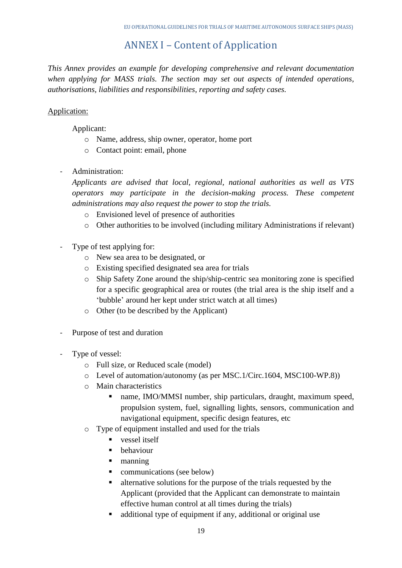## ANNEX I – Content of Application

<span id="page-18-0"></span>*This Annex provides an example for developing comprehensive and relevant documentation when applying for MASS trials. The section may set out aspects of intended operations, authorisations, liabilities and responsibilities, reporting and safety cases.* 

### Application:

Applicant:

- o Name, address, ship owner, operator, home port
- o Contact point: email, phone
- Administration:

*Applicants are advised that local, regional, national authorities as well as VTS operators may participate in the decision-making process. These competent administrations may also request the power to stop the trials.*

- o Envisioned level of presence of authorities
- o Other authorities to be involved (including military Administrations if relevant)
- Type of test applying for:
	- o New sea area to be designated, or
	- o Existing specified designated sea area for trials
	- o Ship Safety Zone around the ship/ship-centric sea monitoring zone is specified for a specific geographical area or routes (the trial area is the ship itself and a 'bubble' around her kept under strict watch at all times)
	- o Other (to be described by the Applicant)
- Purpose of test and duration
- Type of vessel:
	- o Full size, or Reduced scale (model)
	- o Level of automation/autonomy (as per MSC.1/Circ.1604, MSC100-WP.8))
	- o Main characteristics
		- name, IMO/MMSI number, ship particulars, draught, maximum speed, propulsion system, fuel, signalling lights, sensors, communication and navigational equipment, specific design features, etc
	- o Type of equipment installed and used for the trials
		- vessel itself
		- **•** behaviour
		- manning
		- **communications** (see below)
		- alternative solutions for the purpose of the trials requested by the Applicant (provided that the Applicant can demonstrate to maintain effective human control at all times during the trials)
		- additional type of equipment if any, additional or original use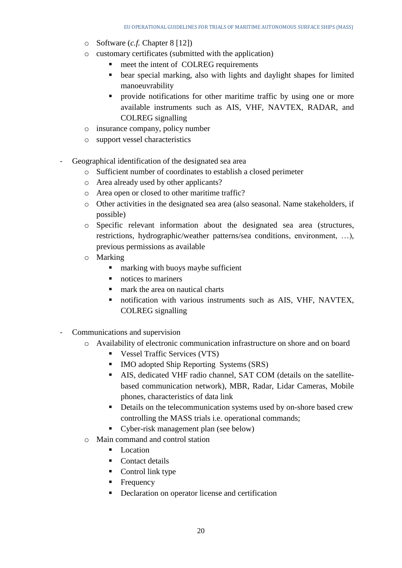- o Software (*c.f.* Chapter 8 [12])
- o customary certificates (submitted with the application)
	- meet the intent of COLREG requirements
	- bear special marking, also with lights and daylight shapes for limited manoeuvrability
	- **Perovide notifications for other maritime traffic by using one or more** available instruments such as AIS, VHF, NAVTEX, RADAR, and COLREG signalling
- o insurance company, policy number
- o support vessel characteristics
- Geographical identification of the designated sea area
	- o Sufficient number of coordinates to establish a closed perimeter
	- o Area already used by other applicants?
	- o Area open or closed to other maritime traffic?
	- o Other activities in the designated sea area (also seasonal. Name stakeholders, if possible)
	- o Specific relevant information about the designated sea area (structures, restrictions, hydrographic/weather patterns/sea conditions, environment, …), previous permissions as available
	- o Marking
		- **Example 1** marking with buoys maybe sufficient
		- notices to mariners
		- **n** mark the area on nautical charts
		- notification with various instruments such as AIS, VHF, NAVTEX, COLREG signalling
- Communications and supervision
	- o Availability of electronic communication infrastructure on shore and on board
		- Vessel Traffic Services (VTS)
		- IMO adopted Ship Reporting Systems (SRS)
		- AIS, dedicated VHF radio channel, SAT COM (details on the satellitebased communication network), MBR, Radar, Lidar Cameras, Mobile phones, characteristics of data link
		- Details on the telecommunication systems used by on-shore based crew controlling the MASS trials i.e. operational commands;
		- Cyber-risk management plan (see below)
	- o Main command and control station
		- $\blacksquare$  Location
		- Contact details
		- Control link type
		- **Frequency**
		- Declaration on operator license and certification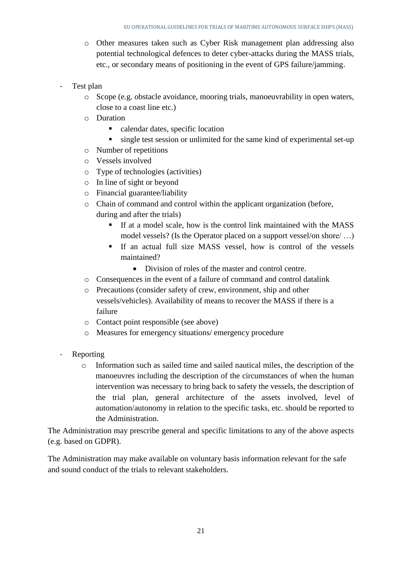- o Other measures taken such as Cyber Risk management plan addressing also potential technological defences to deter cyber-attacks during the MASS trials, etc., or secondary means of positioning in the event of GPS failure/jamming.
- Test plan
	- o Scope (e.g. obstacle avoidance, mooring trials, manoeuvrability in open waters, close to a coast line etc.)
	- o Duration
		- calendar dates, specific location
		- single test session or unlimited for the same kind of experimental set-up
	- o Number of repetitions
	- o Vessels involved
	- o Type of technologies (activities)
	- o In line of sight or beyond
	- o Financial guarantee/liability
	- o Chain of command and control within the applicant organization (before, during and after the trials)
		- If at a model scale, how is the control link maintained with the MASS model vessels? (Is the Operator placed on a support vessel/on shore/ …)
		- If an actual full size MASS vessel, how is control of the vessels maintained?
			- Division of roles of the master and control centre.
	- o Consequences in the event of a failure of command and control datalink
	- o Precautions (consider safety of crew, environment, ship and other vessels/vehicles). Availability of means to recover the MASS if there is a failure
	- o Contact point responsible (see above)
	- o Measures for emergency situations/ emergency procedure
- Reporting
	- o Information such as sailed time and sailed nautical miles, the description of the manoeuvres including the description of the circumstances of when the human intervention was necessary to bring back to safety the vessels, the description of the trial plan, general architecture of the assets involved, level of automation/autonomy in relation to the specific tasks, etc. should be reported to the Administration.

The Administration may prescribe general and specific limitations to any of the above aspects (e.g. based on GDPR).

The Administration may make available on voluntary basis information relevant for the safe and sound conduct of the trials to relevant stakeholders.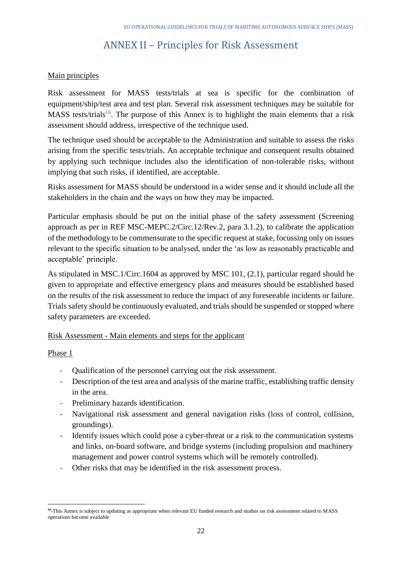## ANNEX II – Principles for Risk Assessment

#### <span id="page-21-0"></span>Main principles

Risk assessment for MASS tests/trials at sea is specific for the combination of equipment/ship/test area and test plan. Several risk assessment techniques may be suitable for MASS tests/trials<sup>16</sup>. The purpose of this Annex is to highlight the main elements that a risk assessment should address, irrespective of the technique used.

The technique used should be acceptable to the Administration and suitable to assess the risks arising from the specific tests/trials. An acceptable technique and consequent results obtained by applying such technique includes also the identification of non-tolerable risks, without implying that such risks, if identified, are acceptable.

Risks assessment for MASS should be understood in a wider sense and it should include all the stakeholders in the chain and the ways on how they may be impacted.

Particular emphasis should be put on the initial phase of the safety assessment (Screening approach as per in REF MSC-MEPC.2/Circ.12/Rev.2, para 3.1.2), to calibrate the application of the methodology to be commensurate to the specific request at stake, focussing only on issues relevant to the specific situation to be analysed, under the 'as low as reasonably practicable and acceptable' principle.

As stipulated in MSC.1/Circ.1604 as approved by MSC 101, (2.1), particular regard should be given to appropriate and effective emergency plans and measures should be established based on the results of the risk assessment to reduce the impact of any foreseeable incidents or failure. Trials safety should be continuously evaluated, and trials should be suspended or stopped where safety parameters are exceeded.

#### Risk Assessment - Main elements and steps for the applicant

#### Phase 1

**.** 

- Qualification of the personnel carrying out the risk assessment.
- Description of the test area and analysis of the marine traffic, establishing traffic density in the area.
- Preliminary hazards identification.
- Navigational risk assessment and general navigation risks (loss of control, collision, groundings).
- Identify issues which could pose a cyber-threat or a risk to the communication systems and links, on-board software, and bridge systems (including propulsion and machinery management and power control systems which will be remotely controlled).
- Other risks that may be identified in the risk assessment process.

<sup>&</sup>lt;sup>46</sup> This Annex is subject to updating as appropriate when relevant EU funded research and studies on risk assessment related to MASS operations become available